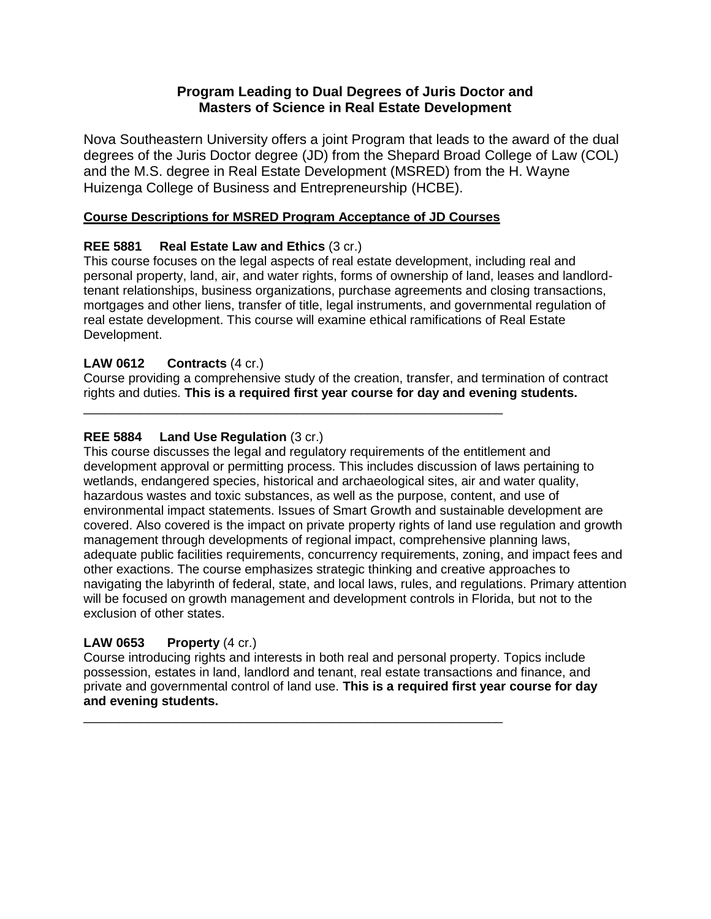# **Program Leading to Dual Degrees of Juris Doctor and Masters of Science in Real Estate Development**

Nova Southeastern University offers a joint Program that leads to the award of the dual degrees of the Juris Doctor degree (JD) from the Shepard Broad College of Law (COL) and the M.S. degree in Real Estate Development (MSRED) from the H. Wayne Huizenga College of Business and Entrepreneurship (HCBE).

### **Course Descriptions for MSRED Program Acceptance of JD Courses**

\_\_\_\_\_\_\_\_\_\_\_\_\_\_\_\_\_\_\_\_\_\_\_\_\_\_\_\_\_\_\_\_\_\_\_\_\_\_\_\_\_\_\_\_\_\_\_\_\_\_\_\_\_\_\_\_\_\_\_

# **REE 5881 Real Estate Law and Ethics** (3 cr.)

This course focuses on the legal aspects of real estate development, including real and personal property, land, air, and water rights, forms of ownership of land, leases and landlordtenant relationships, business organizations, purchase agreements and closing transactions, mortgages and other liens, transfer of title, legal instruments, and governmental regulation of real estate development. This course will examine ethical ramifications of Real Estate Development.

# **LAW 0612 Contracts** (4 cr.)

Course providing a comprehensive study of the creation, transfer, and termination of contract rights and duties. **This is a required first year course for day and evening students.**

# **REE 5884 Land Use Regulation** (3 cr.)

This course discusses the legal and regulatory requirements of the entitlement and development approval or permitting process. This includes discussion of laws pertaining to wetlands, endangered species, historical and archaeological sites, air and water quality, hazardous wastes and toxic substances, as well as the purpose, content, and use of environmental impact statements. Issues of Smart Growth and sustainable development are covered. Also covered is the impact on private property rights of land use regulation and growth management through developments of regional impact, comprehensive planning laws, adequate public facilities requirements, concurrency requirements, zoning, and impact fees and other exactions. The course emphasizes strategic thinking and creative approaches to navigating the labyrinth of federal, state, and local laws, rules, and regulations. Primary attention will be focused on growth management and development controls in Florida, but not to the exclusion of other states.

#### **LAW 0653 Property** (4 cr.)

Course introducing rights and interests in both real and personal property. Topics include possession, estates in land, landlord and tenant, real estate transactions and finance, and private and governmental control of land use. **This is a required first year course for day and evening students.**

\_\_\_\_\_\_\_\_\_\_\_\_\_\_\_\_\_\_\_\_\_\_\_\_\_\_\_\_\_\_\_\_\_\_\_\_\_\_\_\_\_\_\_\_\_\_\_\_\_\_\_\_\_\_\_\_\_\_\_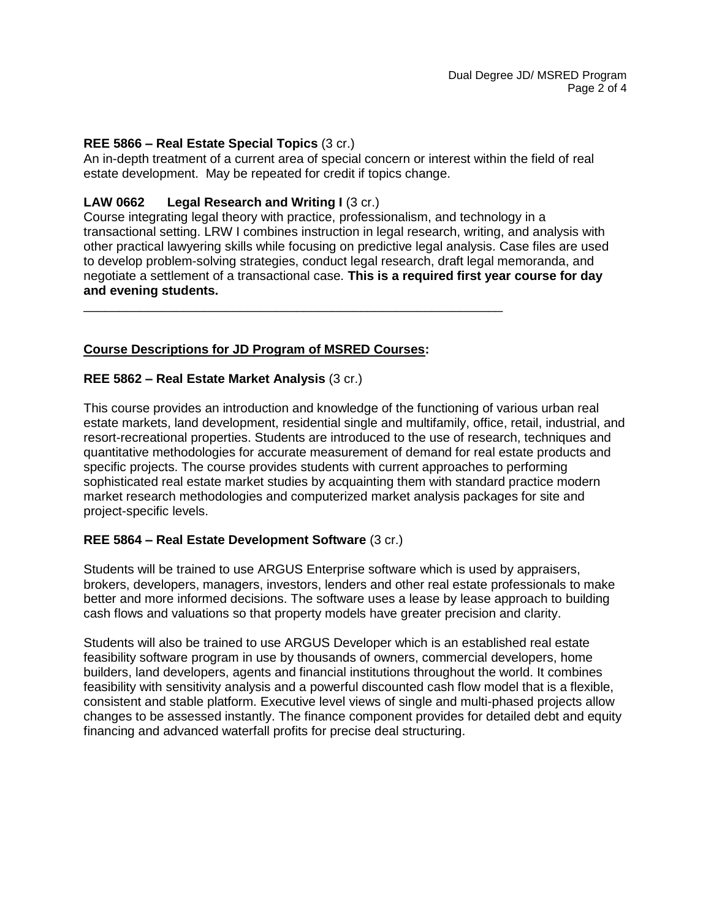### **REE 5866 – Real Estate Special Topics** (3 cr.)

An in-depth treatment of a current area of special concern or interest within the field of real estate development. May be repeated for credit if topics change.

# **LAW 0662 Legal Research and Writing I** (3 cr.)

Course integrating legal theory with practice, professionalism, and technology in a transactional setting. LRW I combines instruction in legal research, writing, and analysis with other practical lawyering skills while focusing on predictive legal analysis. Case files are used to develop problem-solving strategies, conduct legal research, draft legal memoranda, and negotiate a settlement of a transactional case. **This is a required first year course for day and evening students.**

\_\_\_\_\_\_\_\_\_\_\_\_\_\_\_\_\_\_\_\_\_\_\_\_\_\_\_\_\_\_\_\_\_\_\_\_\_\_\_\_\_\_\_\_\_\_\_\_\_\_\_\_\_\_\_\_\_\_\_

# **Course Descriptions for JD Program of MSRED Courses:**

#### **REE 5862 – Real Estate Market Analysis** (3 cr.)

This course provides an introduction and knowledge of the functioning of various urban real estate markets, land development, residential single and multifamily, office, retail, industrial, and resort-recreational properties. Students are introduced to the use of research, techniques and quantitative methodologies for accurate measurement of demand for real estate products and specific projects. The course provides students with current approaches to performing sophisticated real estate market studies by acquainting them with standard practice modern market research methodologies and computerized market analysis packages for site and project-specific levels.

#### **REE 5864 – Real Estate Development Software** (3 cr.)

Students will be trained to use ARGUS Enterprise software which is used by appraisers, brokers, developers, managers, investors, lenders and other real estate professionals to make better and more informed decisions. The software uses a lease by lease approach to building cash flows and valuations so that property models have greater precision and clarity.

Students will also be trained to use ARGUS Developer which is an established real estate feasibility software program in use by thousands of owners, commercial developers, home builders, land developers, agents and financial institutions throughout the world. It combines feasibility with sensitivity analysis and a powerful discounted cash flow model that is a flexible, consistent and stable platform. Executive level views of single and multi-phased projects allow changes to be assessed instantly. The finance component provides for detailed debt and equity financing and advanced waterfall profits for precise deal structuring.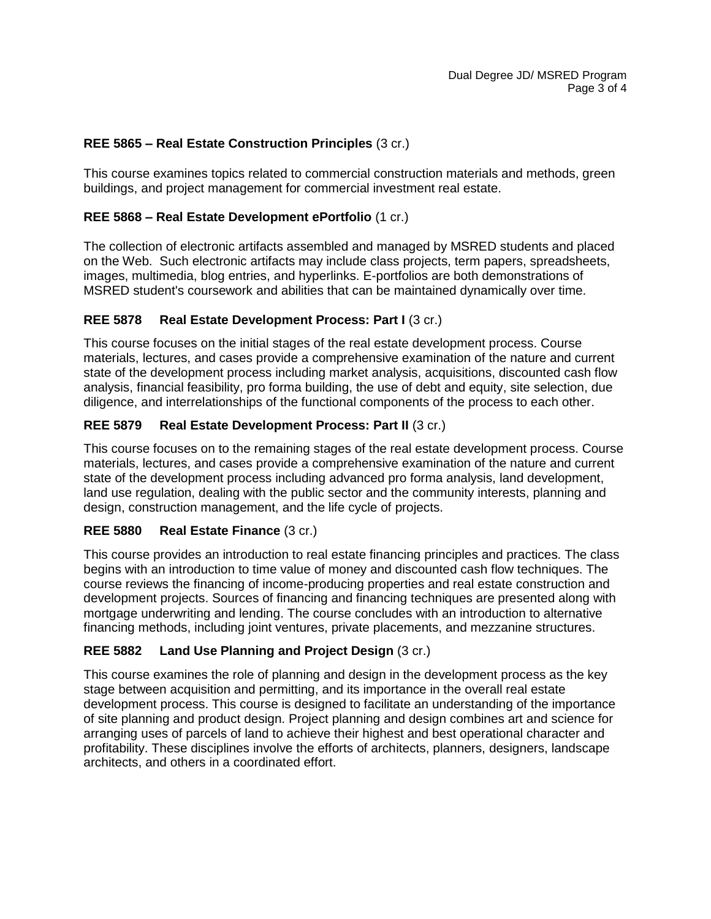### **REE 5865 – Real Estate Construction Principles** (3 cr.)

This course examines topics related to commercial construction materials and methods, green buildings, and project management for commercial investment real estate.

### **REE 5868 – Real Estate Development ePortfolio** (1 cr.)

The collection of electronic artifacts assembled and managed by MSRED students and placed on the Web. Such electronic artifacts may include class projects, term papers, spreadsheets, images, multimedia, blog entries, and hyperlinks. E-portfolios are both demonstrations of MSRED student's coursework and abilities that can be maintained dynamically over time.

# **REE 5878 Real Estate Development Process: Part I** (3 cr.)

This course focuses on the initial stages of the real estate development process. Course materials, lectures, and cases provide a comprehensive examination of the nature and current state of the development process including market analysis, acquisitions, discounted cash flow analysis, financial feasibility, pro forma building, the use of debt and equity, site selection, due diligence, and interrelationships of the functional components of the process to each other.

# **REE 5879 Real Estate Development Process: Part II** (3 cr.)

This course focuses on to the remaining stages of the real estate development process. Course materials, lectures, and cases provide a comprehensive examination of the nature and current state of the development process including advanced pro forma analysis, land development, land use regulation, dealing with the public sector and the community interests, planning and design, construction management, and the life cycle of projects.

#### **REE 5880 Real Estate Finance** (3 cr.)

This course provides an introduction to real estate financing principles and practices. The class begins with an introduction to time value of money and discounted cash flow techniques. The course reviews the financing of income-producing properties and real estate construction and development projects. Sources of financing and financing techniques are presented along with mortgage underwriting and lending. The course concludes with an introduction to alternative financing methods, including joint ventures, private placements, and mezzanine structures.

# **REE 5882 Land Use Planning and Project Design** (3 cr.)

This course examines the role of planning and design in the development process as the key stage between acquisition and permitting, and its importance in the overall real estate development process. This course is designed to facilitate an understanding of the importance of site planning and product design. Project planning and design combines art and science for arranging uses of parcels of land to achieve their highest and best operational character and profitability. These disciplines involve the efforts of architects, planners, designers, landscape architects, and others in a coordinated effort.